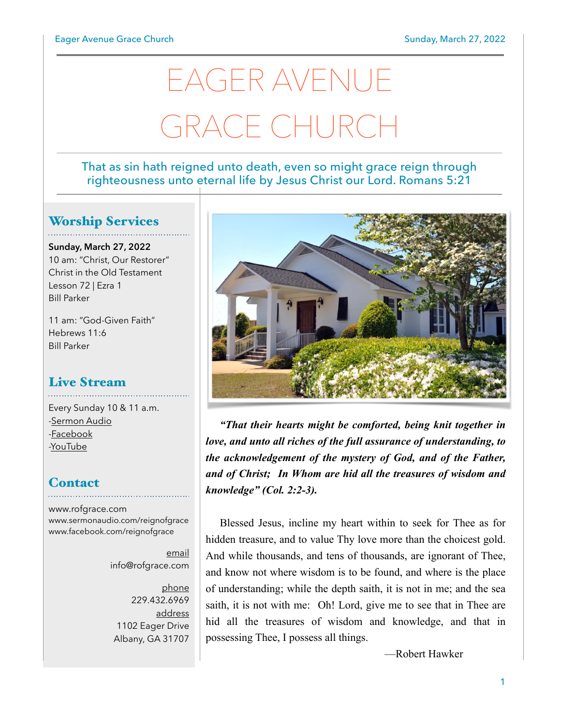# EAGER AVENUE GRACE CHURCH

#### That as sin hath reigned unto death, even so might grace reign through righteousness unto eternal life by Jesus Christ our Lord. Romans 5:21

### Worship Services

**Sunday, March 27, 2022** 10 am: "Christ, Our Restorer" Christ in the Old Testament Lesson 72 | Ezra 1 Bill Parker

11 am: "God-Given Faith" Hebrews 11:6 Bill Parker

#### Live Stream

Every Sunday 10 & 11 a.m. [-Sermon Audio](http://sermonaudio.com/reignofgrace) [-Facebook](http://facebook.com/eageravechurch) [-YouTube](http://youtube.com/channel/UCu_lTHCIUOK0cka9AjFV_5Q/live)

## **Contact**

[www.rofgrace.com](http://www.rofgrace.com) [www.sermonaudio.com/reignofgrace](http://www.sermonaudio.com/reignofgrace) [www.facebook.com/reignofgrace](http://www.facebook.com/reignofgrace)

> email [info@rofgrace.com](mailto:info@rofgrace.com?subject=)

phone 229.432.6969 address 1102 Eager Drive Albany, GA 31707



*"That their hearts might be comforted, being knit together in love, and unto all riches of the full assurance of understanding, to the acknowledgement of the mystery of God, and of the Father, and of Christ; In Whom are hid all the treasures of wisdom and knowledge" (Col. 2:2-3).*

Blessed Jesus, incline my heart within to seek for Thee as for hidden treasure, and to value Thy love more than the choicest gold. And while thousands, and tens of thousands, are ignorant of Thee, and know not where wisdom is to be found, and where is the place of understanding; while the depth saith, it is not in me; and the sea saith, it is not with me: Oh! Lord, give me to see that in Thee are hid all the treasures of wisdom and knowledge, and that in possessing Thee, I possess all things.

—Robert Hawker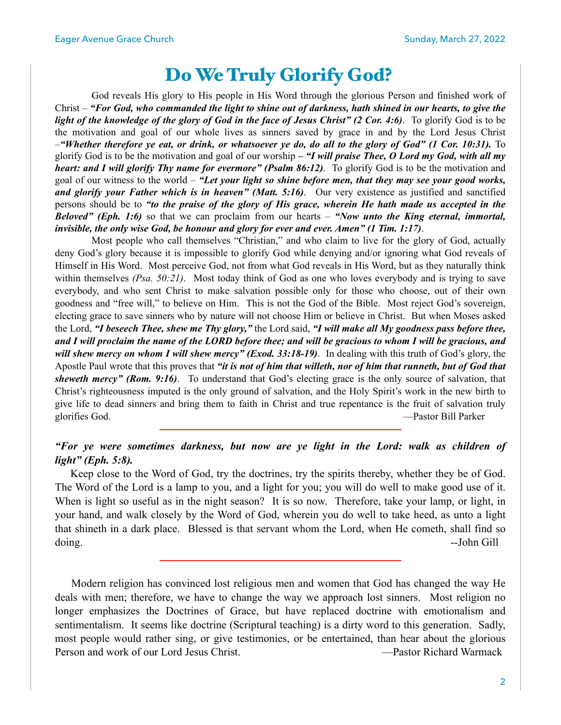## Do We Truly Glorify God?

God reveals His glory to His people in His Word through the glorious Person and finished work of Christ – *"For God, who commanded the light to shine out of darkness, hath shined in our hearts, to give the light of the knowledge of the glory of God in the face of Jesus Christ" (2 Cor. 4:6)*. To glorify God is to be the motivation and goal of our whole lives as sinners saved by grace in and by the Lord Jesus Christ –*"Whether therefore ye eat, or drink, or whatsoever ye do, do all to the glory of God" (1 Cor. 10:31).* To glorify God is to be the motivation and goal of our worship *– "I will praise Thee, O Lord my God, with all my heart: and I will glorify Thy name for evermore" (Psalm 86:12)*. To glorify God is to be the motivation and goal of our witness to the world – *"Let your light so shine before men, that they may see your good works, and glorify your Father which is in heaven" (Matt. 5:16)*. Our very existence as justified and sanctified persons should be to *"to the praise of the glory of His grace, wherein He hath made us accepted in the Beloved" (Eph. 1:6)* so that we can proclaim from our hearts – *"Now unto the King eternal, immortal, invisible, the only wise God, be honour and glory for ever and ever. Amen" (1 Tim. 1:17)*.

 Most people who call themselves "Christian," and who claim to live for the glory of God, actually deny God's glory because it is impossible to glorify God while denying and/or ignoring what God reveals of Himself in His Word. Most perceive God, not from what God reveals in His Word, but as they naturally think within themselves *(Psa. 50:21)*. Most today think of God as one who loves everybody and is trying to save everybody, and who sent Christ to make salvation possible only for those who choose, out of their own goodness and "free will," to believe on Him. This is not the God of the Bible. Most reject God's sovereign, electing grace to save sinners who by nature will not choose Him or believe in Christ. But when Moses asked the Lord, *"I beseech Thee, shew me Thy glory,"* the Lord said, *"I will make all My goodness pass before thee, and I will proclaim the name of the LORD before thee; and will be gracious to whom I will be gracious, and will shew mercy on whom I will shew mercy" (Exod. 33:18-19)*. In dealing with this truth of God's glory, the Apostle Paul wrote that this proves that *"it is not of him that willeth, nor of him that runneth, but of God that sheweth mercy" (Rom. 9:16)*. To understand that God's electing grace is the only source of salvation, that Christ's righteousness imputed is the only ground of salvation, and the Holy Spirit's work in the new birth to give life to dead sinners and bring them to faith in Christ and true repentance is the fruit of salvation truly glorifies God. —Pastor Bill Parker

#### *"For ye were sometimes darkness, but now are ye light in the Lord: walk as children of light" (Eph. 5:8).*

 Keep close to the Word of God, try the doctrines, try the spirits thereby, whether they be of God. The Word of the Lord is a lamp to you, and a light for you; you will do well to make good use of it. When is light so useful as in the night season? It is so now. Therefore, take your lamp, or light, in your hand, and walk closely by the Word of God, wherein you do well to take heed, as unto a light that shineth in a dark place. Blessed is that servant whom the Lord, when He cometh, shall find so doing. --John Gill

 Modern religion has convinced lost religious men and women that God has changed the way He deals with men; therefore, we have to change the way we approach lost sinners. Most religion no longer emphasizes the Doctrines of Grace, but have replaced doctrine with emotionalism and sentimentalism. It seems like doctrine (Scriptural teaching) is a dirty word to this generation. Sadly, most people would rather sing, or give testimonies, or be entertained, than hear about the glorious Person and work of our Lord Jesus Christ. —Pastor Richard Warmack